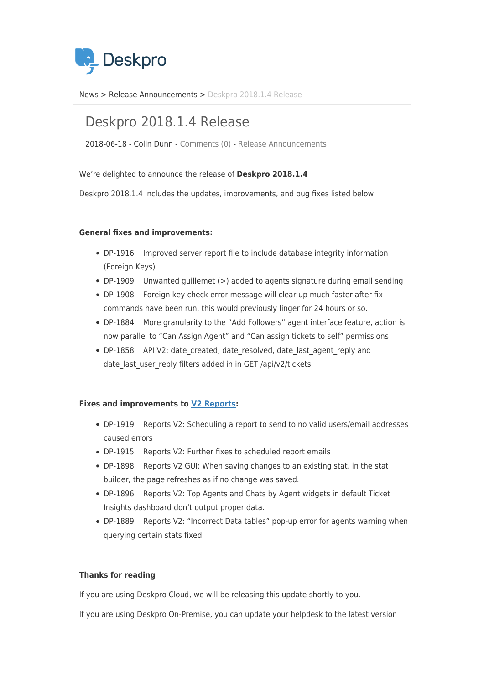

[News](https://support.deskpro.com/sv/news) > [Release Announcements](https://support.deskpro.com/sv/news/release-announcements) > [Deskpro 2018.1.4 Release](https://support.deskpro.com/sv/news/posts/deskpro-2018-1-4-release)

## Deskpro 2018.1.4 Release

2018-06-18 - Colin Dunn - [Comments \(0\)](#page--1-0) - [Release Announcements](https://support.deskpro.com/sv/news/release-announcements)

We're delighted to announce the release of **Deskpro 2018.1.4**

Deskpro 2018.1.4 includes the updates, improvements, and bug fixes listed below:

## **General fixes and improvements:**

- DP-1916 Improved server report file to include database integrity information (Foreign Keys)
- DP-1909 Unwanted guillemet (>) added to agents signature during email sending
- DP-1908 Foreign key check error message will clear up much faster after fix commands have been run, this would previously linger for 24 hours or so.
- DP-1884 More granularity to the "Add Followers" agent interface feature, action is now parallel to "Can Assign Agent" and "Can assign tickets to self" permissions
- DP-1858 API V2: date created, date resolved, date last agent reply and date last user reply filters added in in GET /api/v2/tickets

## **Fixes and improvements to [V2 Reports](https://support.deskpro.com/en/news/posts/new-reports):**

- DP-1919 Reports V2: Scheduling a report to send to no valid users/email addresses caused errors
- DP-1915 Reports V2: Further fixes to scheduled report emails
- DP-1898 Reports V2 GUI: When saving changes to an existing stat, in the stat builder, the page refreshes as if no change was saved.
- DP-1896 Reports V2: Top Agents and Chats by Agent widgets in default Ticket Insights dashboard don't output proper data.
- DP-1889 Reports V2: "Incorrect Data tables" pop-up error for agents warning when querying certain stats fixed

## **Thanks for reading**

If you are using Deskpro Cloud, we will be releasing this update shortly to you.

If you are using Deskpro On-Premise, you can update your helpdesk to the latest version